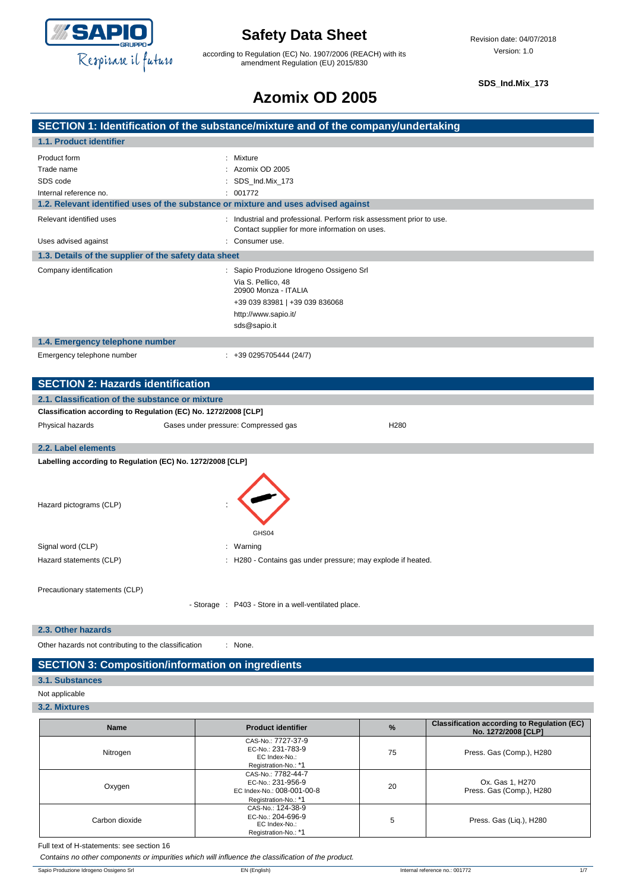

according to Regulation (EC) No. 1907/2006 (REACH) with its amendment Regulation (EU) 2015/830

**SDS\_Ind.Mix\_173**

# **Azomix OD 2005**

### **SECTION 1: Identification of the substance/mixture and of the company/undertaking 1.1. Product identifier** Product form  $\qquad \qquad : \quad$  Mixture Trade name : Azomix OD 2005 SDS code : SDS\_Ind.Mix\_173 Internal reference no. <br>  $\qquad \qquad$  : 001772 **1.2. Relevant identified uses of the substance or mixture and uses advised against** Relevant identified uses : Industrial and professional. Perform risk assessment prior to use. Contact supplier for more information on uses. Uses advised against **intervalsed** and the consumer use. **1.3. Details of the supplier of the safety data sheet** Company identification : Sapio Produzione Idrogeno Ossigeno Srl Via S. Pellico, 48 20900 Monza - ITALIA +39 039 83981 | +39 039 836068 http://www.sapio.it/ sds@sapio.it **1.4. Emergency telephone number** Emergency telephone number : +39 0295705444 (24/7) **SECTION 2: Hazards identification 2.1. Classification of the substance or mixture Classification according to Regulation (EC) No. 1272/2008 [CLP]** Physical hazards Gases under pressure: Compressed gas H280 **2.2. Label elements Labelling according to Regulation (EC) No. 1272/2008 [CLP]** Hazard pictograms (CLP) : GHS04 Signal word (CLP)  $\qquad \qquad$ : Warning

Precautionary statements (CLP)

- Storage : P403 - Store in a well-ventilated place.

Hazard statements (CLP)  $\qquad \qquad$ : H280 - Contains gas under pressure; may explode if heated.

#### **2.3. Other hazards**

Other hazards not contributing to the classification : None.

### **SECTION 3: Composition/information on ingredients**

#### **3.1. Substances**

- Not applicable
- **3.2. Mixtures**

| <b>Name</b>    | <b>Product identifier</b>                                                                     | $\frac{9}{6}$ | <b>Classification according to Regulation (EC)</b><br>No. 1272/2008 [CLP] |
|----------------|-----------------------------------------------------------------------------------------------|---------------|---------------------------------------------------------------------------|
| Nitrogen       | CAS-No.: 7727-37-9<br>EC-No.: 231-783-9<br>EC Index-No.:<br>Registration-No.: *1              | 75            | Press. Gas (Comp.), H280                                                  |
| Oxygen         | CAS-No.: 7782-44-7<br>EC-No.: 231-956-9<br>EC Index-No.: 008-001-00-8<br>Registration-No.: *1 | 20            | Ox. Gas 1, H270<br>Press. Gas (Comp.), H280                               |
| Carbon dioxide | CAS-No.: 124-38-9<br>EC-No.: 204-696-9<br>EC Index-No.:<br>Registration-No.: *1               | 5             | Press. Gas (Liq.), H280                                                   |

Full text of H-statements: see section 16

*Contains no other components or impurities which will influence the classification of the product.*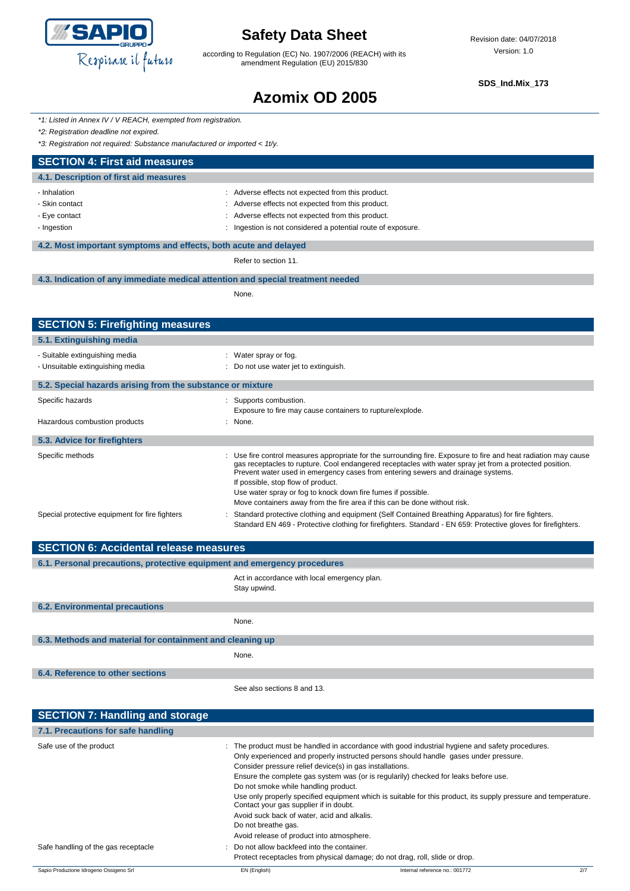

according to Regulation (EC) No. 1907/2006 (REACH) with its amendment Regulation (EU) 2015/830

### **SDS\_Ind.Mix\_173**

# **Azomix OD 2005**

*\*1: Listed in Annex IV / V REACH, exempted from registration.*

*\*2: Registration deadline not expired.*

*\*3: Registration not required: Substance manufactured or imported < 1t/y.*

| *3: Registration not required: Substance manufactured or imported < 1t/y.       |                                                                                                                                                                                                                                                                                                                                                    |  |
|---------------------------------------------------------------------------------|----------------------------------------------------------------------------------------------------------------------------------------------------------------------------------------------------------------------------------------------------------------------------------------------------------------------------------------------------|--|
| <b>SECTION 4: First aid measures</b>                                            |                                                                                                                                                                                                                                                                                                                                                    |  |
| 4.1. Description of first aid measures                                          |                                                                                                                                                                                                                                                                                                                                                    |  |
| - Inhalation                                                                    | : Adverse effects not expected from this product.                                                                                                                                                                                                                                                                                                  |  |
| - Skin contact                                                                  | : Adverse effects not expected from this product.                                                                                                                                                                                                                                                                                                  |  |
| - Eye contact                                                                   | : Adverse effects not expected from this product.                                                                                                                                                                                                                                                                                                  |  |
| - Ingestion                                                                     | Ingestion is not considered a potential route of exposure.                                                                                                                                                                                                                                                                                         |  |
| 4.2. Most important symptoms and effects, both acute and delayed                |                                                                                                                                                                                                                                                                                                                                                    |  |
|                                                                                 | Refer to section 11.                                                                                                                                                                                                                                                                                                                               |  |
| 4.3. Indication of any immediate medical attention and special treatment needed |                                                                                                                                                                                                                                                                                                                                                    |  |
|                                                                                 | None.                                                                                                                                                                                                                                                                                                                                              |  |
|                                                                                 |                                                                                                                                                                                                                                                                                                                                                    |  |
| <b>SECTION 5: Firefighting measures</b>                                         |                                                                                                                                                                                                                                                                                                                                                    |  |
| 5.1. Extinguishing media                                                        |                                                                                                                                                                                                                                                                                                                                                    |  |
| - Suitable extinguishing media                                                  | : Water spray or fog.                                                                                                                                                                                                                                                                                                                              |  |
| - Unsuitable extinguishing media                                                | Do not use water jet to extinguish.                                                                                                                                                                                                                                                                                                                |  |
| 5.2. Special hazards arising from the substance or mixture                      |                                                                                                                                                                                                                                                                                                                                                    |  |
| Specific hazards                                                                | : Supports combustion.                                                                                                                                                                                                                                                                                                                             |  |
|                                                                                 | Exposure to fire may cause containers to rupture/explode.                                                                                                                                                                                                                                                                                          |  |
| Hazardous combustion products                                                   | : None.                                                                                                                                                                                                                                                                                                                                            |  |
| 5.3. Advice for firefighters                                                    |                                                                                                                                                                                                                                                                                                                                                    |  |
| Specific methods                                                                | Use fire control measures appropriate for the surrounding fire. Exposure to fire and heat radiation may cause<br>gas receptacles to rupture. Cool endangered receptacles with water spray jet from a protected position.<br>Prevent water used in emergency cases from entering sewers and drainage systems.<br>If possible, stop flow of product. |  |
|                                                                                 | Use water spray or fog to knock down fire fumes if possible.                                                                                                                                                                                                                                                                                       |  |
|                                                                                 | Move containers away from the fire area if this can be done without risk.                                                                                                                                                                                                                                                                          |  |
| Special protective equipment for fire fighters                                  | Standard protective clothing and equipment (Self Contained Breathing Apparatus) for fire fighters.<br>Standard EN 469 - Protective clothing for firefighters. Standard - EN 659: Protective gloves for firefighters.                                                                                                                               |  |
| <b>SECTION 6: Accidental release measures</b>                                   |                                                                                                                                                                                                                                                                                                                                                    |  |

| 6.1. Personal precautions, protective equipment and emergency procedures |                                                              |  |
|--------------------------------------------------------------------------|--------------------------------------------------------------|--|
|                                                                          | Act in accordance with local emergency plan.<br>Stay upwind. |  |
| <b>6.2. Environmental precautions</b>                                    |                                                              |  |
|                                                                          | None.                                                        |  |
| 6.3. Methods and material for containment and cleaning up                |                                                              |  |
|                                                                          | None.                                                        |  |
| 6.4. Reference to other sections                                         |                                                              |  |
|                                                                          | See also sections 8 and 13.                                  |  |
| <b>SECTION 7: Handling and storage</b>                                   |                                                              |  |

| 7.1. Precautions for safe handling     |                                                                                                                                                                                                                                                               |                                                                                                                                                                                                                                                                                                                                                                                                  |     |
|----------------------------------------|---------------------------------------------------------------------------------------------------------------------------------------------------------------------------------------------------------------------------------------------------------------|--------------------------------------------------------------------------------------------------------------------------------------------------------------------------------------------------------------------------------------------------------------------------------------------------------------------------------------------------------------------------------------------------|-----|
| Safe use of the product                | Consider pressure relief device(s) in gas installations.<br>Do not smoke while handling product.<br>Contact your gas supplier if in doubt.<br>Avoid suck back of water, acid and alkalis.<br>Do not breathe gas.<br>Avoid release of product into atmosphere. | : The product must be handled in accordance with good industrial hygiene and safety procedures.<br>Only experienced and properly instructed persons should handle gases under pressure.<br>Ensure the complete gas system was (or is regularily) checked for leaks before use.<br>Use only properly specified equipment which is suitable for this product, its supply pressure and temperature. |     |
| Safe handling of the gas receptacle    | : Do not allow backfeed into the container.                                                                                                                                                                                                                   | Protect receptacles from physical damage; do not drag, roll, slide or drop.                                                                                                                                                                                                                                                                                                                      |     |
| Sapio Produzione Idrogeno Ossigeno Srl | EN (English)                                                                                                                                                                                                                                                  | Internal reference no.: 001772                                                                                                                                                                                                                                                                                                                                                                   | 2/7 |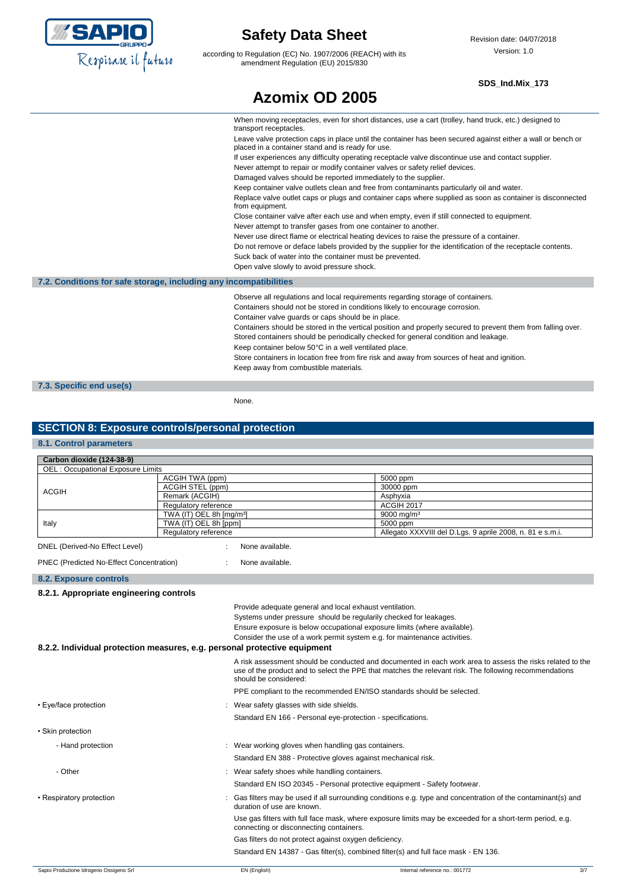

according to Regulation (EC) No. 1907/2006 (REACH) with its amendment Regulation (EU) 2015/830

### **SDS\_Ind.Mix\_173**

# **Azomix OD 2005**

When moving receptacles, even for short distances, use a cart (trolley, hand truck, etc.) designed to transport receptacles. Leave valve protection caps in place until the container has been secured against either a wall or bench or placed in a container stand and is ready for use. If user experiences any difficulty operating receptacle valve discontinue use and contact supplier. Never attempt to repair or modify container valves or safety relief devices. Damaged valves should be reported immediately to the supplier. Keep container valve outlets clean and free from contaminants particularly oil and water. Replace valve outlet caps or plugs and container caps where supplied as soon as container is disconnected from equipment. Close container valve after each use and when empty, even if still connected to equipment. Never attempt to transfer gases from one container to another. Never use direct flame or electrical heating devices to raise the pressure of a container. Do not remove or deface labels provided by the supplier for the identification of the receptacle contents. Suck back of water into the container must be prevented. Open valve slowly to avoid pressure shock. **7.2. Conditions for safe storage, including any incompatibilities** Observe all regulations and local requirements regarding storage of containers. Containers should not be stored in conditions likely to encourage corrosion. Container valve guards or caps should be in place. Containers should be stored in the vertical position and properly secured to prevent them from falling over. Stored containers should be periodically checked for general condition and leakage. Keep container below 50°C in a well ventilated place. Store containers in location free from fire risk and away from sources of heat and ignition. Keep away from combustible materials. **7.3. Specific end use(s)** None.

### **SECTION 8: Exposure controls/personal protection**

### **8.1. Control parameters**

| Carbon dioxide (124-38-9)                                                 |                                                               |                                                                                                                                                                                                                                              |                                                                           |                                                                                                             |     |
|---------------------------------------------------------------------------|---------------------------------------------------------------|----------------------------------------------------------------------------------------------------------------------------------------------------------------------------------------------------------------------------------------------|---------------------------------------------------------------------------|-------------------------------------------------------------------------------------------------------------|-----|
| <b>OEL: Occupational Exposure Limits</b>                                  |                                                               |                                                                                                                                                                                                                                              |                                                                           |                                                                                                             |     |
|                                                                           |                                                               | ACGIH TWA (ppm)                                                                                                                                                                                                                              |                                                                           | 5000 ppm                                                                                                    |     |
| <b>ACGIH</b>                                                              | ACGIH STEL (ppm)                                              |                                                                                                                                                                                                                                              |                                                                           | 30000 ppm                                                                                                   |     |
|                                                                           | Remark (ACGIH)                                                |                                                                                                                                                                                                                                              |                                                                           | Asphyxia                                                                                                    |     |
|                                                                           | Regulatory reference                                          |                                                                                                                                                                                                                                              |                                                                           | <b>ACGIH 2017</b><br>9000 mg/m <sup>3</sup>                                                                 |     |
| Italy                                                                     | TWA (IT) OEL 8h [mg/m <sup>3</sup> ]<br>TWA (IT) OEL 8h [ppm] |                                                                                                                                                                                                                                              |                                                                           | 5000 ppm                                                                                                    |     |
|                                                                           | Regulatory reference                                          |                                                                                                                                                                                                                                              |                                                                           | Allegato XXXVIII del D.Lgs. 9 aprile 2008, n. 81 e s.m.i.                                                   |     |
| DNEL (Derived-No Effect Level)                                            |                                                               | None available.                                                                                                                                                                                                                              |                                                                           |                                                                                                             |     |
| PNEC (Predicted No-Effect Concentration)                                  |                                                               | None available.                                                                                                                                                                                                                              |                                                                           |                                                                                                             |     |
| <b>8.2. Exposure controls</b>                                             |                                                               |                                                                                                                                                                                                                                              |                                                                           |                                                                                                             |     |
| 8.2.1. Appropriate engineering controls                                   |                                                               |                                                                                                                                                                                                                                              |                                                                           |                                                                                                             |     |
|                                                                           |                                                               | Provide adequate general and local exhaust ventilation.                                                                                                                                                                                      |                                                                           |                                                                                                             |     |
|                                                                           |                                                               |                                                                                                                                                                                                                                              |                                                                           | Systems under pressure should be regularily checked for leakages.                                           |     |
|                                                                           |                                                               |                                                                                                                                                                                                                                              |                                                                           | Ensure exposure is below occupational exposure limits (where available).                                    |     |
|                                                                           |                                                               |                                                                                                                                                                                                                                              | Consider the use of a work permit system e.g. for maintenance activities. |                                                                                                             |     |
| 8.2.2. Individual protection measures, e.g. personal protective equipment |                                                               |                                                                                                                                                                                                                                              |                                                                           |                                                                                                             |     |
|                                                                           |                                                               | A risk assessment should be conducted and documented in each work area to assess the risks related to the<br>use of the product and to select the PPE that matches the relevant risk. The following recommendations<br>should be considered: |                                                                           |                                                                                                             |     |
|                                                                           |                                                               |                                                                                                                                                                                                                                              |                                                                           | PPE compliant to the recommended EN/ISO standards should be selected.                                       |     |
| Wear safety glasses with side shields.<br>• Eye/face protection           |                                                               |                                                                                                                                                                                                                                              |                                                                           |                                                                                                             |     |
|                                                                           |                                                               | Standard EN 166 - Personal eye-protection - specifications.                                                                                                                                                                                  |                                                                           |                                                                                                             |     |
| • Skin protection                                                         |                                                               |                                                                                                                                                                                                                                              |                                                                           |                                                                                                             |     |
| - Hand protection                                                         |                                                               | : Wear working gloves when handling gas containers.                                                                                                                                                                                          |                                                                           |                                                                                                             |     |
|                                                                           |                                                               | Standard EN 388 - Protective gloves against mechanical risk.                                                                                                                                                                                 |                                                                           |                                                                                                             |     |
| - Other                                                                   |                                                               | : Wear safety shoes while handling containers.                                                                                                                                                                                               |                                                                           |                                                                                                             |     |
|                                                                           |                                                               |                                                                                                                                                                                                                                              |                                                                           | Standard EN ISO 20345 - Personal protective equipment - Safety footwear.                                    |     |
| • Respiratory protection                                                  |                                                               | duration of use are known.                                                                                                                                                                                                                   |                                                                           | Gas filters may be used if all surrounding conditions e.g. type and concentration of the contaminant(s) and |     |
|                                                                           |                                                               | connecting or disconnecting containers.                                                                                                                                                                                                      |                                                                           | Use gas filters with full face mask, where exposure limits may be exceeded for a short-term period, e.g.    |     |
|                                                                           |                                                               | Gas filters do not protect against oxygen deficiency.                                                                                                                                                                                        |                                                                           |                                                                                                             |     |
|                                                                           |                                                               |                                                                                                                                                                                                                                              |                                                                           | Standard EN 14387 - Gas filter(s), combined filter(s) and full face mask - EN 136.                          |     |
| Sapio Produzione Idrogeno Ossigeno Srl                                    |                                                               | EN (English)                                                                                                                                                                                                                                 |                                                                           | Internal reference no.: 001772                                                                              | 3/7 |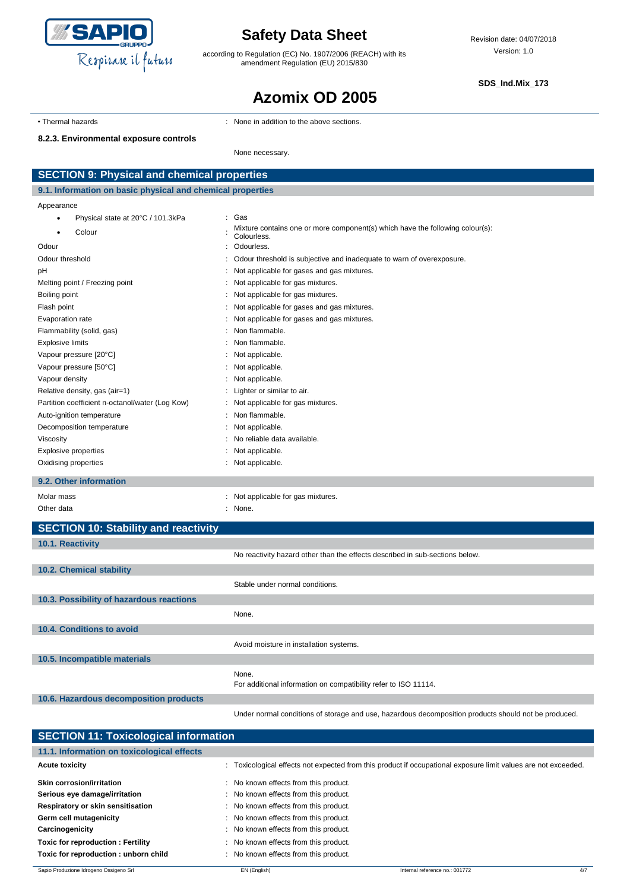

according to Regulation (EC) No. 1907/2006 (REACH) with its amendment Regulation (EU) 2015/830

**SDS\_Ind.Mix\_173**

# **Azomix OD 2005**

• Thermal hazards **in the above sections** : None in addition to the above sections.

#### **8.2.3. Environmental exposure controls**

None necessary.

| <b>SECTION 9: Physical and chemical properties</b>         |                                                                                              |  |
|------------------------------------------------------------|----------------------------------------------------------------------------------------------|--|
| 9.1. Information on basic physical and chemical properties |                                                                                              |  |
| Appearance                                                 |                                                                                              |  |
| Physical state at 20°C / 101.3kPa<br>$\bullet$             | Gas                                                                                          |  |
| Colour                                                     | Mixture contains one or more component(s) which have the following colour(s):<br>Colourless. |  |
| Odour                                                      | Odourless.                                                                                   |  |
| Odour threshold                                            | Odour threshold is subjective and inadequate to warn of overexposure.                        |  |
| pH                                                         | Not applicable for gases and gas mixtures.                                                   |  |
| Melting point / Freezing point                             | Not applicable for gas mixtures.                                                             |  |
| Boiling point                                              | Not applicable for gas mixtures.                                                             |  |
| Flash point                                                | Not applicable for gases and gas mixtures.                                                   |  |
| Evaporation rate                                           | Not applicable for gases and gas mixtures.                                                   |  |
| Flammability (solid, gas)                                  | Non flammable.                                                                               |  |
| <b>Explosive limits</b>                                    | Non flammable.                                                                               |  |
| Vapour pressure [20°C]                                     | Not applicable.                                                                              |  |
| Vapour pressure [50°C]                                     | Not applicable.                                                                              |  |
| Vapour density                                             | Not applicable.                                                                              |  |
| Relative density, gas (air=1)                              | Lighter or similar to air.                                                                   |  |
| Partition coefficient n-octanol/water (Log Kow)            | Not applicable for gas mixtures.                                                             |  |
| Auto-ignition temperature                                  | Non flammable.                                                                               |  |
| Decomposition temperature                                  | Not applicable.                                                                              |  |
| Viscosity                                                  | No reliable data available.                                                                  |  |
| <b>Explosive properties</b>                                | Not applicable.                                                                              |  |
| Oxidising properties                                       | Not applicable.                                                                              |  |
| 9.2. Other information                                     |                                                                                              |  |
| Molar mass                                                 | Not applicable for gas mixtures.                                                             |  |
| Other data                                                 | None.                                                                                        |  |
| <b>SECTION 10: Stability and reactivity</b>                |                                                                                              |  |
| 10.1 Reactivity                                            |                                                                                              |  |

| 10.1. Reactivity                         |                                                                              |
|------------------------------------------|------------------------------------------------------------------------------|
|                                          | No reactivity hazard other than the effects described in sub-sections below. |
| 10.2. Chemical stability                 |                                                                              |
|                                          | Stable under normal conditions.                                              |
| 10.3. Possibility of hazardous reactions |                                                                              |
|                                          | None.                                                                        |
| 10.4. Conditions to avoid                |                                                                              |
|                                          | Avoid moisture in installation systems.                                      |
| 10.5. Incompatible materials             |                                                                              |
|                                          | None.<br>For additional information on compatibility refer to ISO 11114.     |
| 10.6. Hazardous decomposition products   |                                                                              |
|                                          |                                                                              |

Under normal conditions of storage and use, hazardous decomposition products should not be produced.

| <b>SECTION 11: Toxicological information</b> |  |                                       |                                                                                                                |     |
|----------------------------------------------|--|---------------------------------------|----------------------------------------------------------------------------------------------------------------|-----|
| 11.1. Information on toxicological effects   |  |                                       |                                                                                                                |     |
| <b>Acute toxicity</b>                        |  |                                       | : Toxicological effects not expected from this product if occupational exposure limit values are not exceeded. |     |
| Skin corrosion/irritation                    |  | No known effects from this product.   |                                                                                                                |     |
| Serious eye damage/irritation                |  | : No known effects from this product. |                                                                                                                |     |
| Respiratory or skin sensitisation            |  | No known effects from this product.   |                                                                                                                |     |
| Germ cell mutagenicity                       |  | No known effects from this product.   |                                                                                                                |     |
| Carcinogenicity                              |  | No known effects from this product.   |                                                                                                                |     |
| Toxic for reproduction: Fertility            |  | : No known effects from this product. |                                                                                                                |     |
| Toxic for reproduction: unborn child         |  | : No known effects from this product. |                                                                                                                |     |
| Sapio Produzione Idrogeno Ossigeno Srl       |  | EN (English)                          | Internal reference no.: 001772                                                                                 | 4/7 |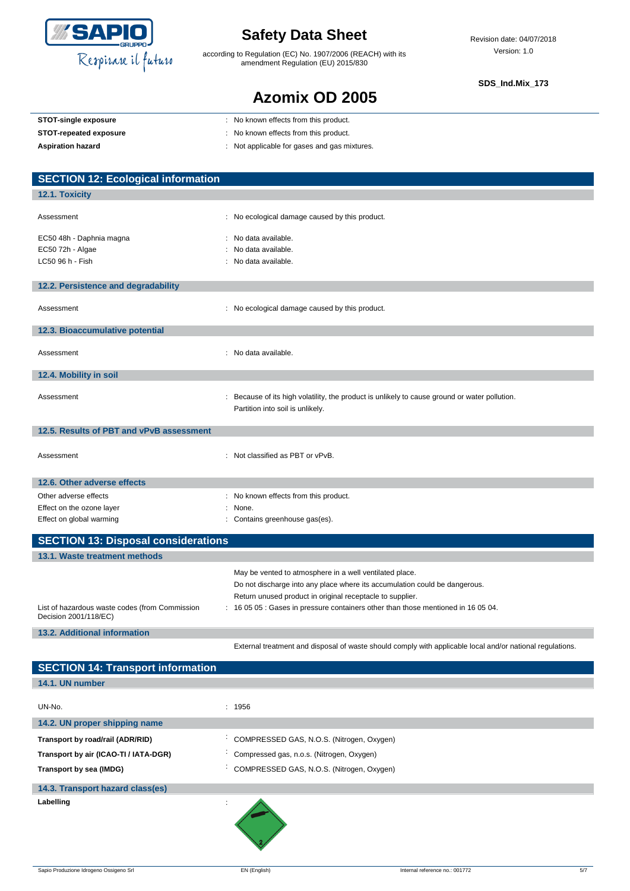

**12.4. Mobility in soil**

### **Safety Data Sheet**

according to Regulation (EC) No. 1907/2006 (REACH) with its amendment Regulation (EU) 2015/830

#### **SDS\_Ind.Mix\_173**

### **Azomix OD 2005**

| STOT-single exposure                      | : No known effects from this product.          |
|-------------------------------------------|------------------------------------------------|
| <b>STOT-repeated exposure</b>             | : No known effects from this product.          |
| <b>Aspiration hazard</b>                  | : Not applicable for gases and gas mixtures.   |
|                                           |                                                |
| <b>SECTION 12: Ecological information</b> |                                                |
|                                           |                                                |
| 12.1. Toxicity                            |                                                |
| Assessment                                | : No ecological damage caused by this product. |
| EC50 48h - Daphnia magna                  | : No data available.                           |
| EC50 72h - Algae                          | : No data available.                           |
| LC50 96 h - Fish                          | : No data available.                           |
|                                           |                                                |
| 12.2. Persistence and degradability       |                                                |
| Assessment                                | : No ecological damage caused by this product. |
| 12.3. Bioaccumulative potential           |                                                |
| Assessment                                | No data available.<br>$\blacksquare$           |

Assessment example in the secause of its high volatility, the product is unlikely to cause ground or water pollution. Partition into soil is unlikely.

| 12.5. Results of PBT and vPvB assessment   |                                             |  |
|--------------------------------------------|---------------------------------------------|--|
| Assessment                                 | $\therefore$ Not classified as PBT or vPvB. |  |
| 12.6. Other adverse effects                |                                             |  |
| Other adverse effects                      | : No known effects from this product.       |  |
| Effect on the ozone layer                  | : None.                                     |  |
| Effect on global warming                   | : Contains greenhouse gas(es).              |  |
|                                            |                                             |  |
| <b>SECTION 13: Disposal considerations</b> |                                             |  |

| 13.1. Waste treatment methods                                           |                                                                                   |
|-------------------------------------------------------------------------|-----------------------------------------------------------------------------------|
|                                                                         | May be vented to atmosphere in a well ventilated place.                           |
|                                                                         | Do not discharge into any place where its accumulation could be dangerous.        |
|                                                                         | Return unused product in original receptacle to supplier.                         |
| List of hazardous waste codes (from Commission<br>Decision 2001/118/EC) | : 16 05 05 : Gases in pressure containers other than those mentioned in 16 05 04. |
| 13.2. Additional information                                            |                                                                                   |

| <b>SECTION 14: Transport information</b> |                                           |
|------------------------------------------|-------------------------------------------|
| 14.1. UN number                          |                                           |
| UN-No.                                   | : 1956                                    |
| 14.2. UN proper shipping name            |                                           |
| Transport by road/rail (ADR/RID)         | COMPRESSED GAS, N.O.S. (Nitrogen, Oxygen) |
| Transport by air (ICAO-TI / IATA-DGR)    | Compressed gas, n.o.s. (Nitrogen, Oxygen) |
| Transport by sea (IMDG)                  | COMPRESSED GAS, N.O.S. (Nitrogen, Oxygen) |
| 14.3. Transport hazard class(es)         |                                           |
| Labelling                                |                                           |

External treatment and disposal of waste should comply with applicable local and/or national regulations.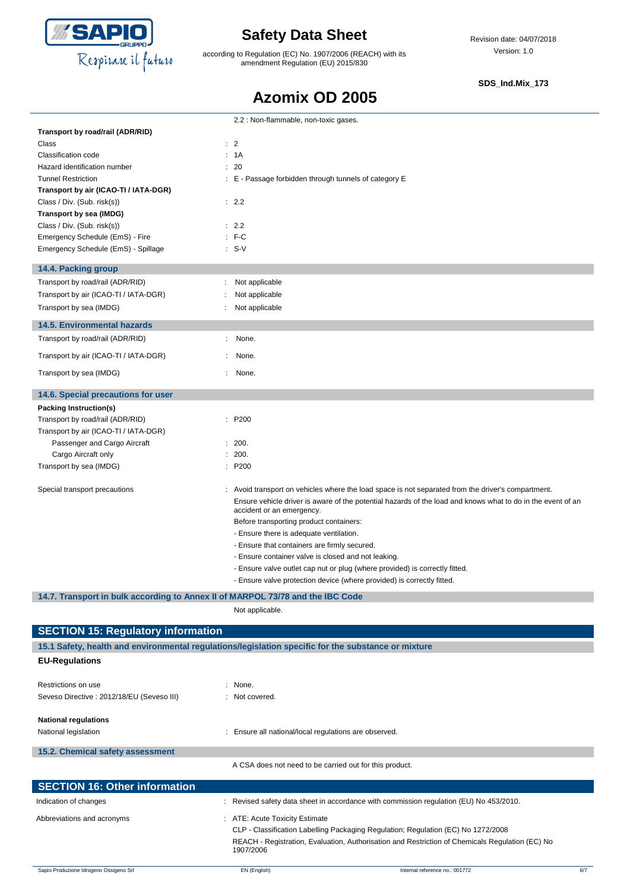

according to Regulation (EC) No. 1907/2006 (REACH) with its amendment Regulation (EU) 2015/830

Revision date: 04/07/2018 Version: 1.0

#### **SDS\_Ind.Mix\_173**

### **Azomix OD 2005**

|                                       | 2.2 : Non-flammable, non-toxic gases.                                                                                                    |
|---------------------------------------|------------------------------------------------------------------------------------------------------------------------------------------|
| Transport by road/rail (ADR/RID)      |                                                                                                                                          |
| Class                                 | $\therefore$ 2                                                                                                                           |
| Classification code                   | : 1A                                                                                                                                     |
| Hazard identification number          | : 20                                                                                                                                     |
| <b>Tunnel Restriction</b>             | : E - Passage forbidden through tunnels of category E                                                                                    |
| Transport by air (ICAO-TI / IATA-DGR) |                                                                                                                                          |
| Class / Div. (Sub. risk(s))           | : 2.2                                                                                                                                    |
| Transport by sea (IMDG)               |                                                                                                                                          |
| Class / Div. (Sub. risk(s))           | : 2.2                                                                                                                                    |
| Emergency Schedule (EmS) - Fire       | $F-C$                                                                                                                                    |
| Emergency Schedule (EmS) - Spillage   | $: S-V$                                                                                                                                  |
| 14.4. Packing group                   |                                                                                                                                          |
| Transport by road/rail (ADR/RID)      | Not applicable                                                                                                                           |
| Transport by air (ICAO-TI / IATA-DGR) | Not applicable                                                                                                                           |
| Transport by sea (IMDG)               | Not applicable                                                                                                                           |
| <b>14.5. Environmental hazards</b>    |                                                                                                                                          |
| Transport by road/rail (ADR/RID)      | None.<br>÷                                                                                                                               |
| Transport by air (ICAO-TI / IATA-DGR) | None.                                                                                                                                    |
| Transport by sea (IMDG)               | None.                                                                                                                                    |
| 14.6. Special precautions for user    |                                                                                                                                          |
| Packing Instruction(s)                |                                                                                                                                          |
| Transport by road/rail (ADR/RID)      | : P200                                                                                                                                   |
| Transport by air (ICAO-TI / IATA-DGR) |                                                                                                                                          |
| Passenger and Cargo Aircraft          | : 200.                                                                                                                                   |
| Cargo Aircraft only                   | 200.                                                                                                                                     |
| Transport by sea (IMDG)               | : P200                                                                                                                                   |
| Special transport precautions         | : Avoid transport on vehicles where the load space is not separated from the driver's compartment.                                       |
|                                       | Ensure vehicle driver is aware of the potential hazards of the load and knows what to do in the event of an<br>accident or an emergency. |
|                                       | Before transporting product containers:                                                                                                  |
|                                       | - Ensure there is adequate ventilation.                                                                                                  |
|                                       | - Ensure that containers are firmly secured.                                                                                             |
|                                       | - Ensure container valve is closed and not leaking.                                                                                      |
|                                       | - Ensure valve outlet cap nut or plug (where provided) is correctly fitted.                                                              |
|                                       | - Ensure valve protection device (where provided) is correctly fitted.                                                                   |

### **14.7. Transport in bulk according to Annex II of MARPOL 73/78 and the IBC Code**

Not applicable.

| <b>SECTION 15: Regulatory information</b><br>15.1 Safety, health and environmental regulations/legislation specific for the substance or mixture |                                     |                                                                                                 |     |  |
|--------------------------------------------------------------------------------------------------------------------------------------------------|-------------------------------------|-------------------------------------------------------------------------------------------------|-----|--|
|                                                                                                                                                  |                                     |                                                                                                 |     |  |
|                                                                                                                                                  |                                     |                                                                                                 |     |  |
| Restrictions on use                                                                                                                              | : None.                             |                                                                                                 |     |  |
| Seveso Directive : 2012/18/EU (Seveso III)                                                                                                       | : Not covered.                      |                                                                                                 |     |  |
| <b>National regulations</b>                                                                                                                      |                                     |                                                                                                 |     |  |
| National legislation                                                                                                                             |                                     | Ensure all national/local regulations are observed.                                             |     |  |
| 15.2. Chemical safety assessment                                                                                                                 |                                     |                                                                                                 |     |  |
|                                                                                                                                                  |                                     | A CSA does not need to be carried out for this product.                                         |     |  |
| <b>SECTION 16: Other information</b>                                                                                                             |                                     |                                                                                                 |     |  |
| Indication of changes                                                                                                                            |                                     | Revised safety data sheet in accordance with commission regulation (EU) No 453/2010.            |     |  |
| Abbreviations and acronyms                                                                                                                       | <b>ATE: Acute Toxicity Estimate</b> |                                                                                                 |     |  |
|                                                                                                                                                  |                                     | CLP - Classification Labelling Packaging Regulation; Regulation (EC) No 1272/2008               |     |  |
|                                                                                                                                                  | 1907/2006                           | REACH - Registration, Evaluation, Authorisation and Restriction of Chemicals Regulation (EC) No |     |  |
| Sapio Produzione Idrogeno Ossigeno Srl                                                                                                           | EN (English)                        | Internal reference no.: 001772                                                                  | 6/7 |  |